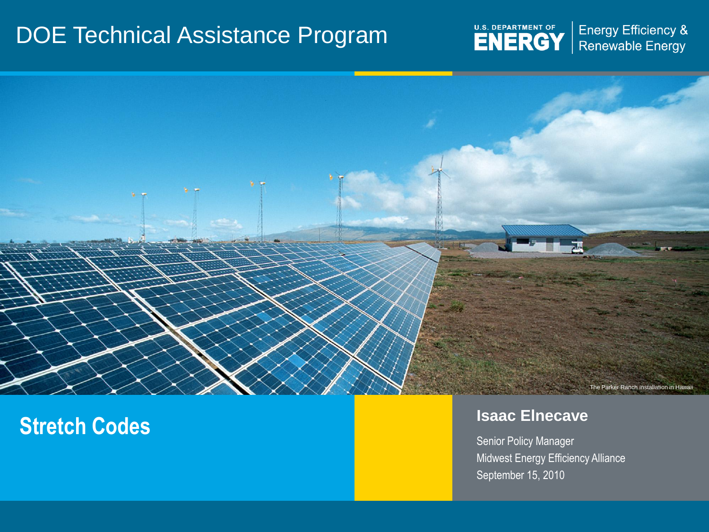#### DOE Technical Assistance Program



Energy Efficiency & Renewable Energy



### **Stretch Codes Islands Islands Islands Islands Islands Islands Islands Islands Islands Islands Islands Islands Islands Islands Islands Islands Islands Islands Islands Islands Islan**

Senior Policy Manager Midwest Energy Efficiency Alliance September 15, 2010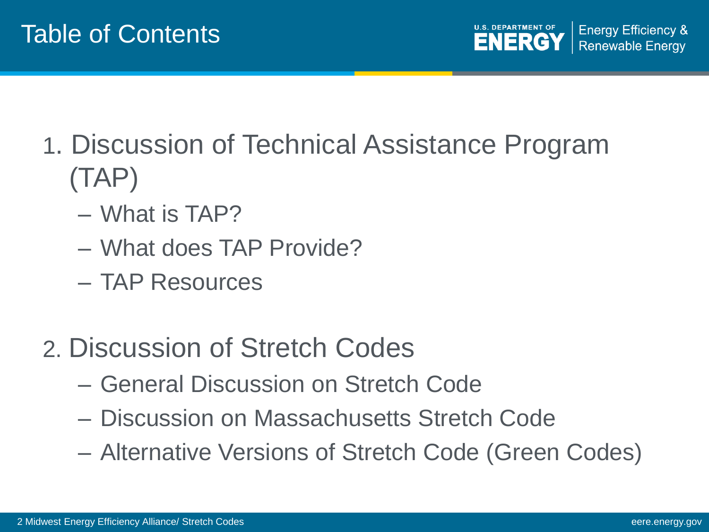**Energy Efficiency &** ENERGY **Renewable Energy** 

- 1. Discussion of Technical Assistance Program (TAP)
	- What is TAP?
	- What does TAP Provide?
	- TAP Resources
- 2. Discussion of Stretch Codes
	- General Discussion on Stretch Code
	- Discussion on Massachusetts Stretch Code
	- Alternative Versions of Stretch Code (Green Codes)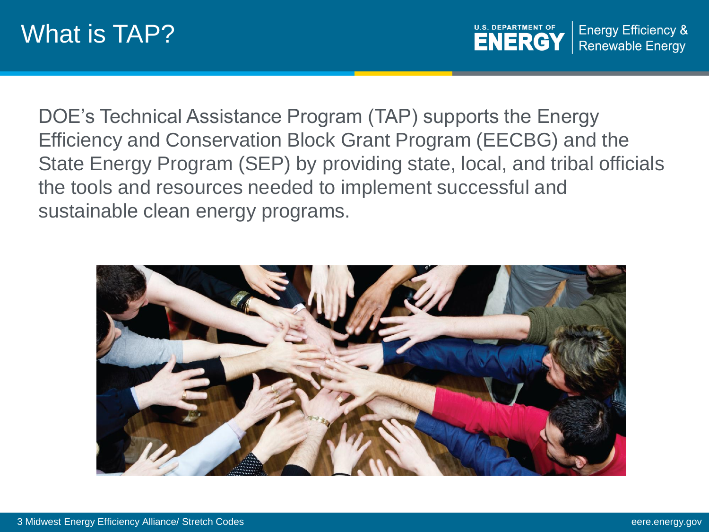**U.S. DEPARTMENT OF Energy Efficiency & ENERGY Renewable Energy** 

DOE's Technical Assistance Program (TAP) supports the Energy Efficiency and Conservation Block Grant Program (EECBG) and the State Energy Program (SEP) by providing state, local, and tribal officials the tools and resources needed to implement successful and sustainable clean energy programs.

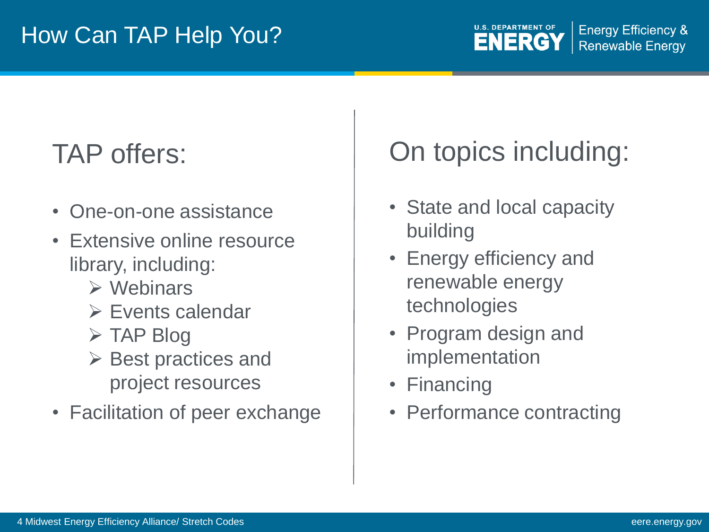### TAP offers:

- One-on-one assistance
- Extensive online resource library, including:
	- $\triangleright$  Webinars
	- $\triangleright$  Events calendar
	- $\triangleright$  TAP Blog
	- $\triangleright$  Best practices and project resources
- Facilitation of peer exchange

### On topics including:

- State and local capacity building
- Energy efficiency and renewable energy technologies
- Program design and implementation
- Financing
- Performance contracting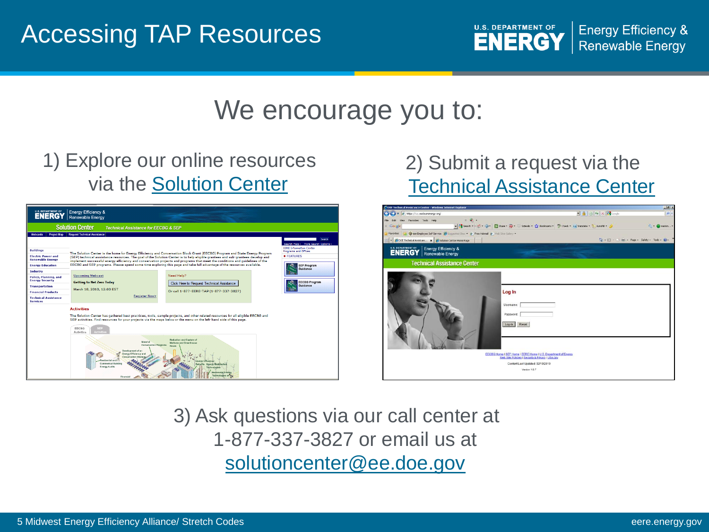

#### We encourage you to:

#### 1) Explore our online resources via the [Solution Center](http://www1.eere.energy.gov/wip/solutioncenter/)



#### 2) Submit a request via the [Technical Assistance Center](https://tac.eecleanenergy.org/)



3) Ask questions via our call center at 1-877-337-3827 or email us at [solutioncenter@ee.doe.gov](mailto:solutioncenter@ee.doe.gov)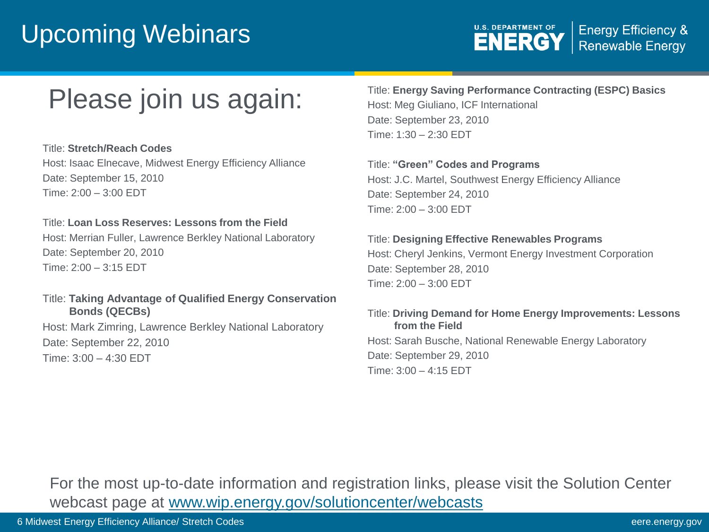#### Upcoming Webinars



#### Please join us again:

Title: **Stretch/Reach Codes** Host: Isaac Elnecave, Midwest Energy Efficiency Alliance Date: September 15, 2010 Time: 2:00 – 3:00 EDT

#### Title: **Loan Loss Reserves: Lessons from the Field**

Host: Merrian Fuller, Lawrence Berkley National Laboratory Date: September 20, 2010 Time: 2:00 – 3:15 EDT

#### Title: **Taking Advantage of Qualified Energy Conservation Bonds (QECBs)**

Host: Mark Zimring, Lawrence Berkley National Laboratory Date: September 22, 2010 Time: 3:00 – 4:30 EDT

Title: **Energy Saving Performance Contracting (ESPC) Basics** Host: Meg Giuliano, ICF International Date: September 23, 2010 Time: 1:30 – 2:30 EDT

Title: **"Green" Codes and Programs** Host: J.C. Martel, Southwest Energy Efficiency Alliance Date: September 24, 2010 Time: 2:00 – 3:00 EDT

#### Title: **Designing Effective Renewables Programs**

Host: Cheryl Jenkins, Vermont Energy Investment Corporation Date: September 28, 2010 Time: 2:00 – 3:00 EDT

#### Title: **Driving Demand for Home Energy Improvements: Lessons from the Field** Host: Sarah Busche, National Renewable Energy Laboratory Date: September 29, 2010 Time: 3:00 – 4:15 EDT

For the most up-to-date information and registration links, please visit the Solution Center webcast page at [www.wip.energy.gov/solutioncenter/webcasts](http://www.wip.energy.gov/solutioncenter/webcasts)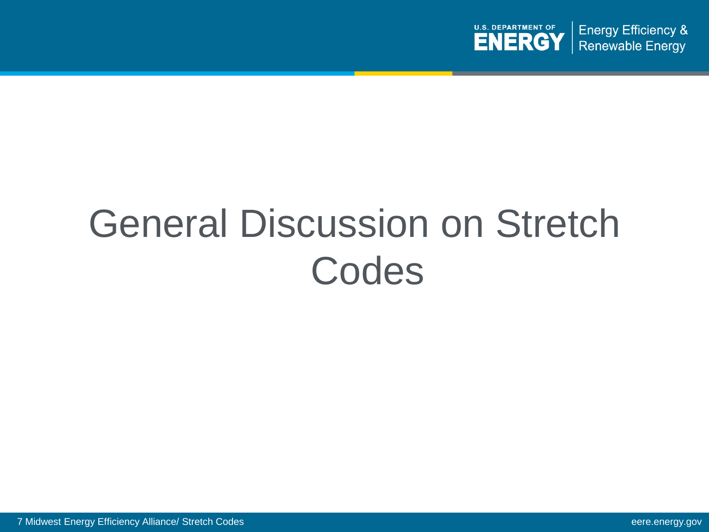

## General Discussion on Stretch Codes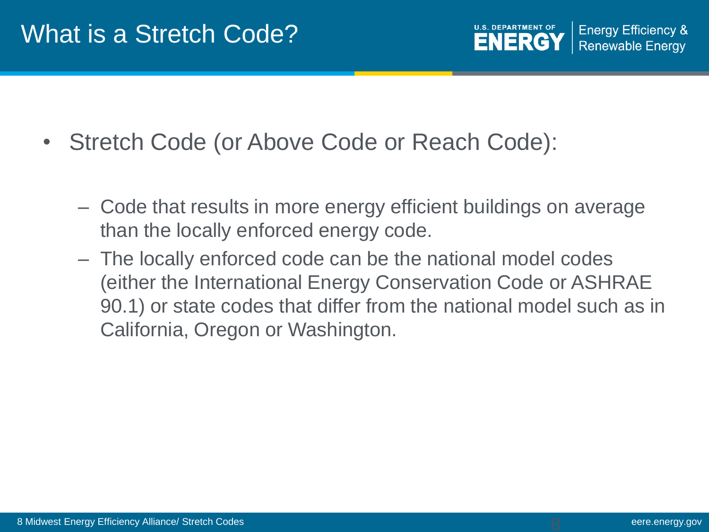- Stretch Code (or Above Code or Reach Code):
	- Code that results in more energy efficient buildings on average than the locally enforced energy code.
	- The locally enforced code can be the national model codes (either the International Energy Conservation Code or ASHRAE 90.1) or state codes that differ from the national model such as in California, Oregon or Washington.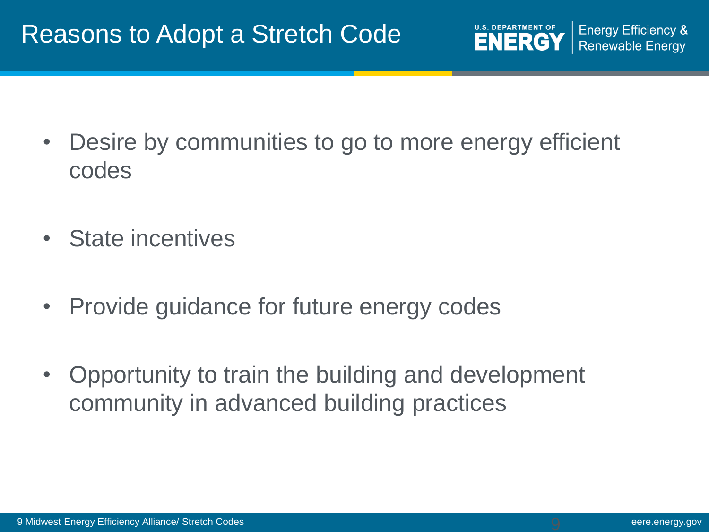

- Desire by communities to go to more energy efficient codes
- State incentives
- Provide guidance for future energy codes
- Opportunity to train the building and development community in advanced building practices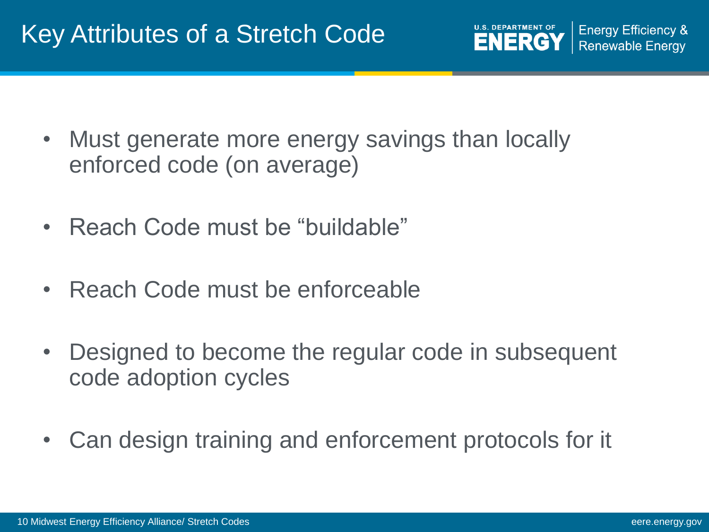

- Must generate more energy savings than locally enforced code (on average)
- Reach Code must be "buildable"
- Reach Code must be enforceable
- Designed to become the regular code in subsequent code adoption cycles
- Can design training and enforcement protocols for it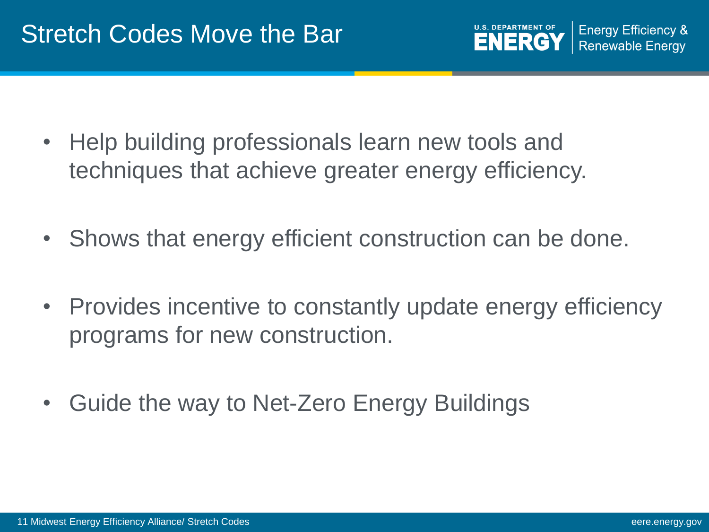**Energy Efficiency & ENERG Renewable Energy** 

- Help building professionals learn new tools and techniques that achieve greater energy efficiency.
- Shows that energy efficient construction can be done.
- Provides incentive to constantly update energy efficiency programs for new construction.
- Guide the way to Net-Zero Energy Buildings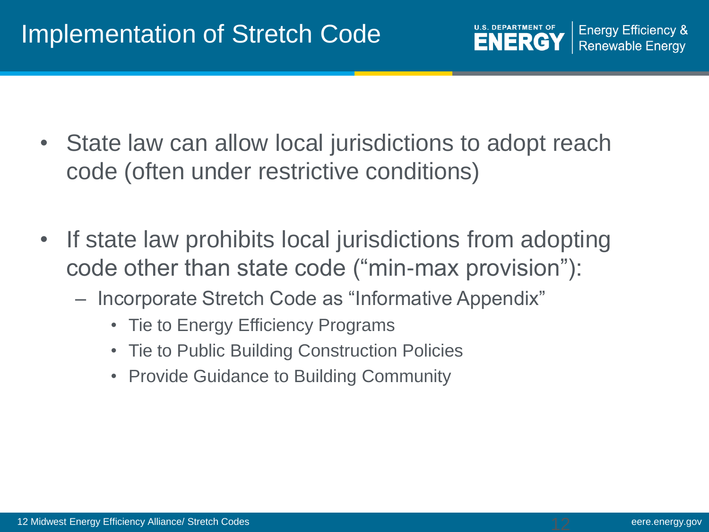

- State law can allow local jurisdictions to adopt reach code (often under restrictive conditions)
- If state law prohibits local jurisdictions from adopting code other than state code ("min-max provision"):
	- Incorporate Stretch Code as "Informative Appendix"
		- Tie to Energy Efficiency Programs
		- Tie to Public Building Construction Policies
		- Provide Guidance to Building Community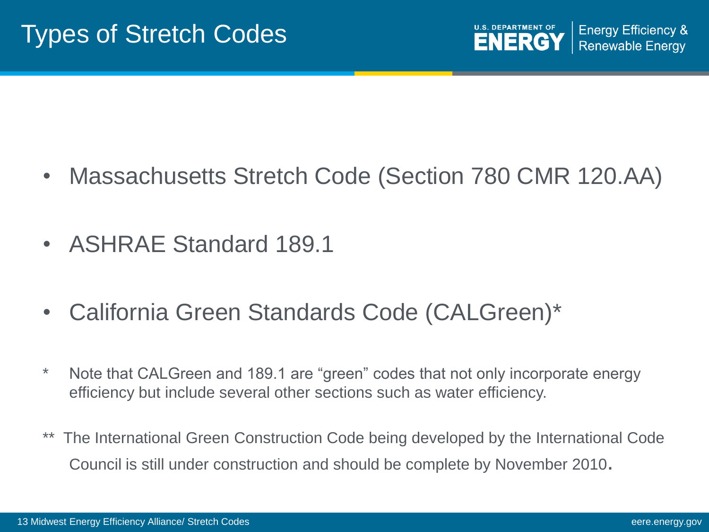- Massachusetts Stretch Code (Section 780 CMR 120.AA)
- ASHRAE Standard 189.1
- California Green Standards Code (CALGreen)\*
- \* Note that CALGreen and 189.1 are "green" codes that not only incorporate energy efficiency but include several other sections such as water efficiency.
- The International Green Construction Code being developed by the International Code Council is still under construction and should be complete by November 2010.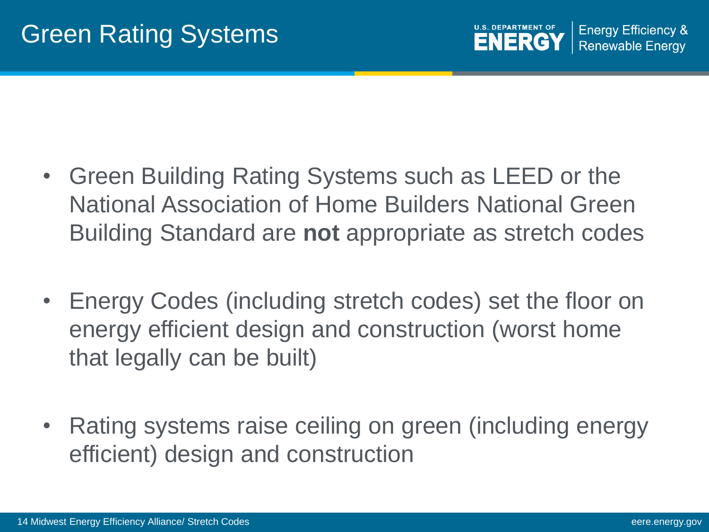- Green Building Rating Systems such as LEED or the National Association of Home Builders National Green Building Standard are **not** appropriate as stretch codes
- Energy Codes (including stretch codes) set the floor on energy efficient design and construction (worst home that legally can be built)
- Rating systems raise ceiling on green (including energy efficient) design and construction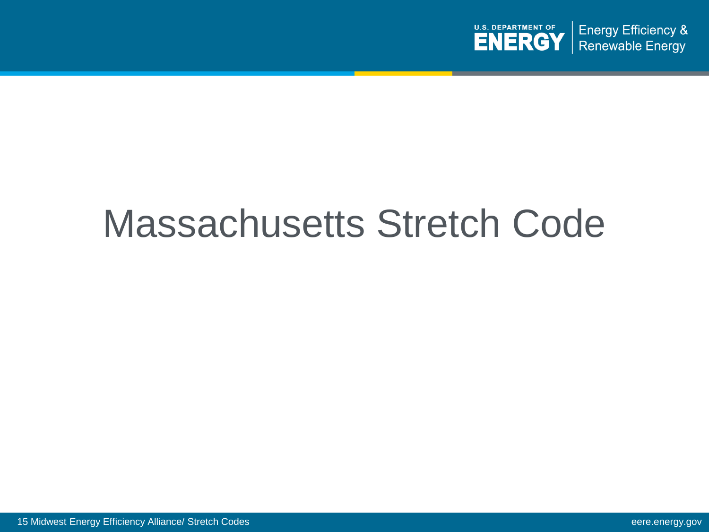

## Massachusetts Stretch Code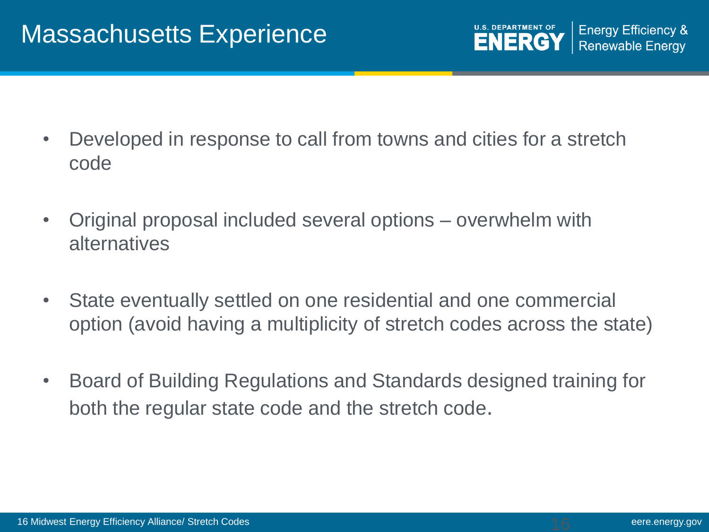- Developed in response to call from towns and cities for a stretch code
- Original proposal included several options overwhelm with alternatives
- State eventually settled on one residential and one commercial option (avoid having a multiplicity of stretch codes across the state)
- Board of Building Regulations and Standards designed training for both the regular state code and the stretch code.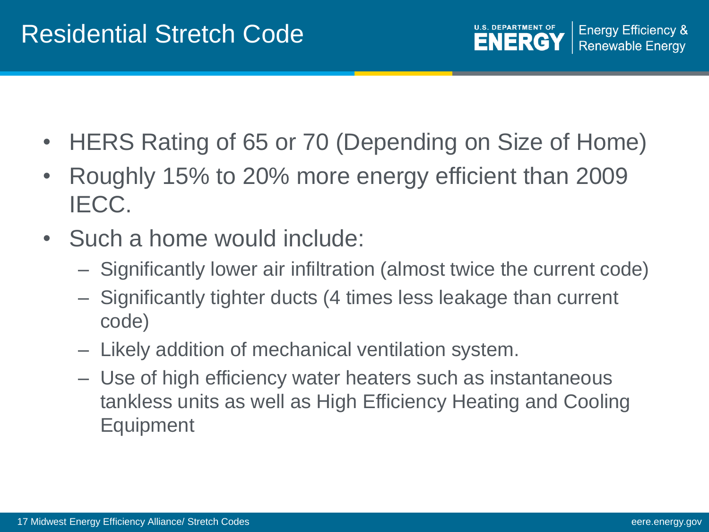- HERS Rating of 65 or 70 (Depending on Size of Home)
- Roughly 15% to 20% more energy efficient than 2009 IECC.
- Such a home would include:
	- Significantly lower air infiltration (almost twice the current code)
	- Significantly tighter ducts (4 times less leakage than current code)
	- Likely addition of mechanical ventilation system.
	- Use of high efficiency water heaters such as instantaneous tankless units as well as High Efficiency Heating and Cooling Equipment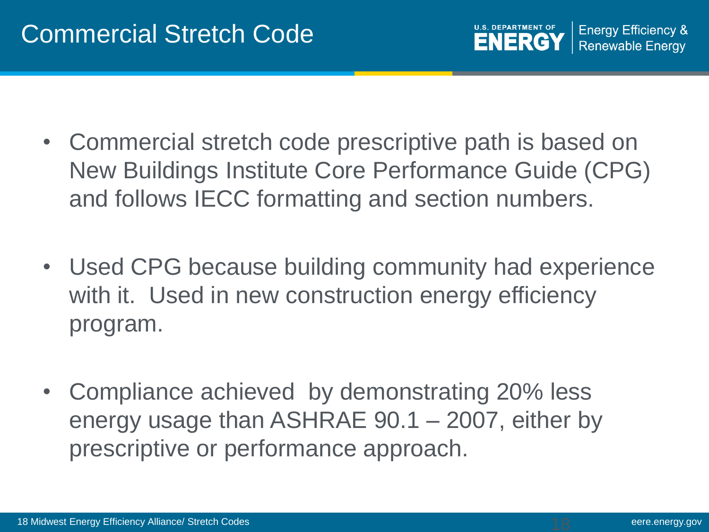

- Commercial stretch code prescriptive path is based on New Buildings Institute Core Performance Guide (CPG) and follows IECC formatting and section numbers.
- Used CPG because building community had experience with it. Used in new construction energy efficiency program.
- Compliance achieved by demonstrating 20% less energy usage than ASHRAE 90.1 – 2007, either by prescriptive or performance approach.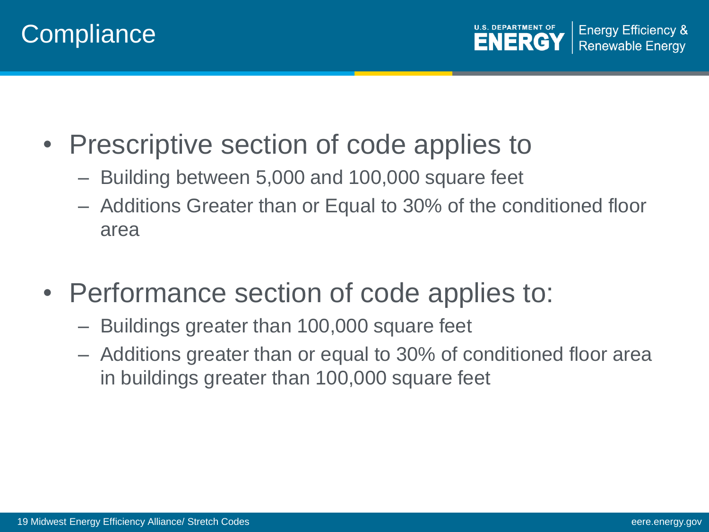



- Prescriptive section of code applies to
	- Building between 5,000 and 100,000 square feet
	- Additions Greater than or Equal to 30% of the conditioned floor area
- Performance section of code applies to:
	- Buildings greater than 100,000 square feet
	- Additions greater than or equal to 30% of conditioned floor area in buildings greater than 100,000 square feet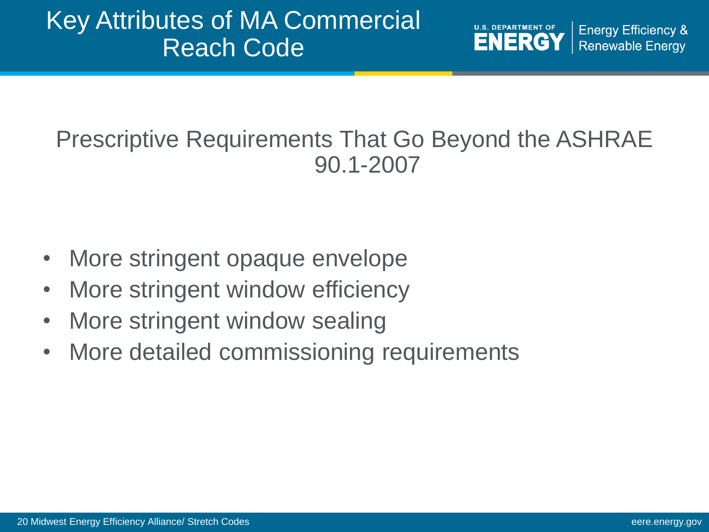#### Key Attributes of MA Commercial Reach Code

**U.S. DEPARTMENT OF Energy Efficiency & ENERGY Renewable Energy** 

#### Prescriptive Requirements That Go Beyond the ASHRAE 90.1-2007

- More stringent opaque envelope
- More stringent window efficiency
- More stringent window sealing
- More detailed commissioning requirements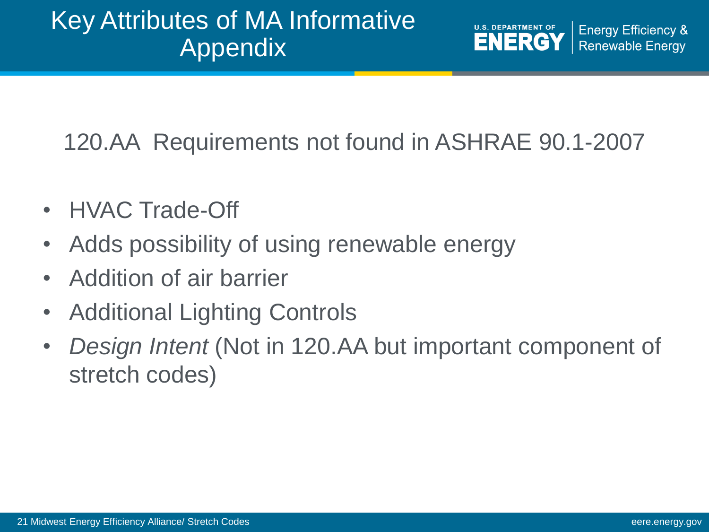#### Key Attributes of MA Informative Appendix

**U.S. DEPARTMENT OF Energy Efficiency & ENERGY Renewable Energy** 

#### 120.AA Requirements not found in ASHRAE 90.1-2007

- HVAC Trade-Off
- Adds possibility of using renewable energy
- Addition of air barrier
- Additional Lighting Controls
- *Design Intent* (Not in 120.AA but important component of stretch codes)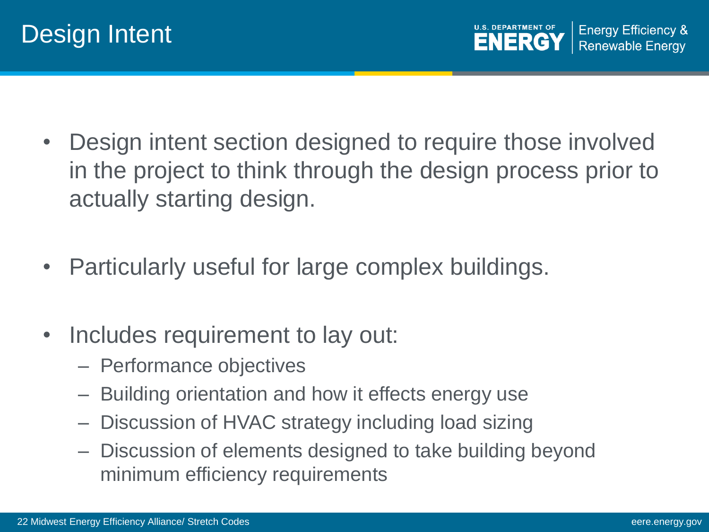

- Design intent section designed to require those involved in the project to think through the design process prior to actually starting design.
- Particularly useful for large complex buildings.
- Includes requirement to lay out:
	- Performance objectives
	- Building orientation and how it effects energy use
	- Discussion of HVAC strategy including load sizing
	- Discussion of elements designed to take building beyond minimum efficiency requirements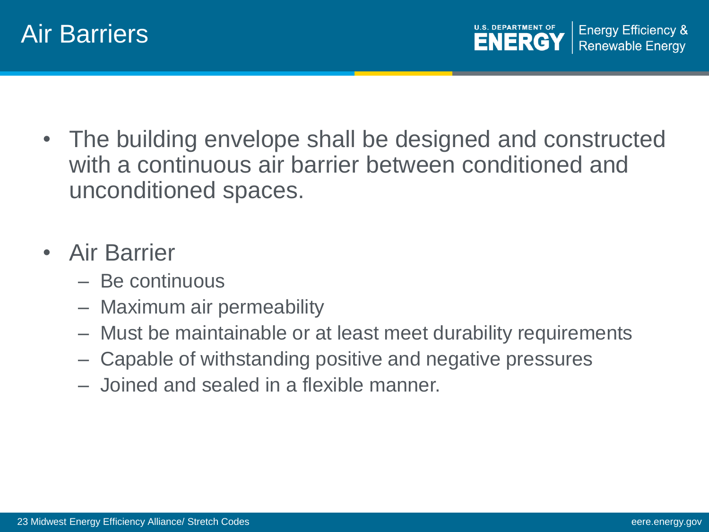



- The building envelope shall be designed and constructed with a continuous air barrier between conditioned and unconditioned spaces.
- Air Barrier
	- Be continuous
	- Maximum air permeability
	- Must be maintainable or at least meet durability requirements
	- Capable of withstanding positive and negative pressures
	- Joined and sealed in a flexible manner.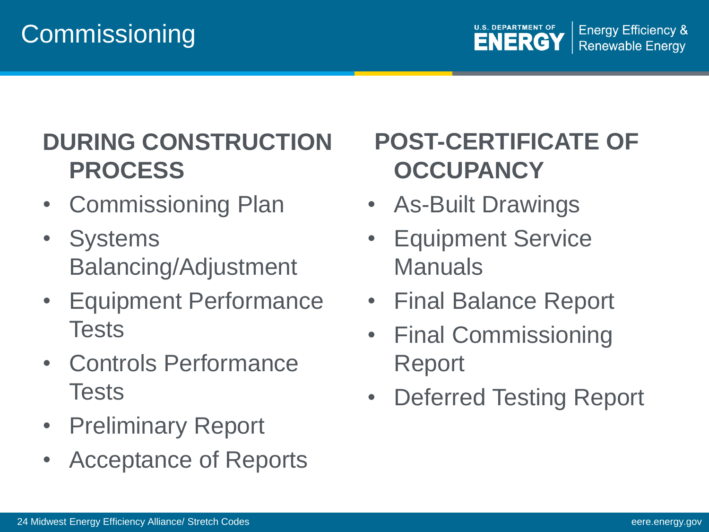#### **Commissioning**



#### **DURING CONSTRUCTION PROCESS**

- Commissioning Plan
- Systems Balancing/Adjustment
- Equipment Performance Tests
- Controls Performance Tests
- Preliminary Report
- Acceptance of Reports

#### **POST-CERTIFICATE OF OCCUPANCY**

- As-Built Drawings
- **Equipment Service** Manuals
- Final Balance Report
- Final Commissioning Report
- Deferred Testing Report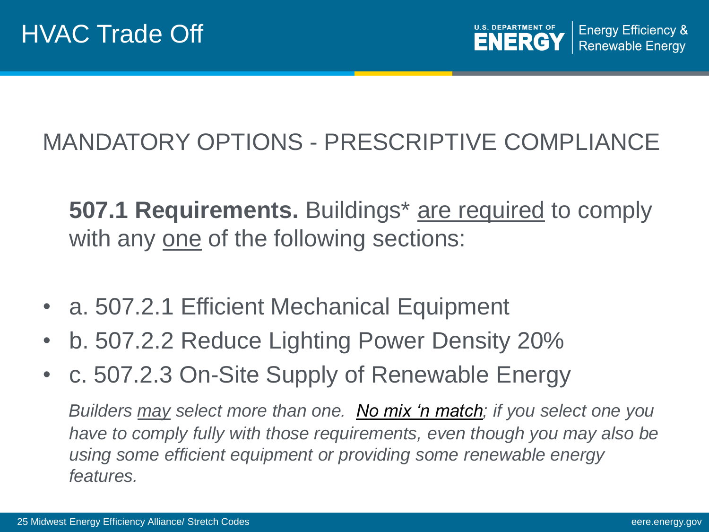

#### MANDATORY OPTIONS - PRESCRIPTIVE COMPLIANCE

**507.1 Requirements.** Buildings\* are required to comply with any one of the following sections:

- a. 507.2.1 Efficient Mechanical Equipment
- b. 507.2.2 Reduce Lighting Power Density 20%
- c. 507.2.3 On-Site Supply of Renewable Energy

*Builders may select more than one. No mix 'n match; if you select one you have to comply fully with those requirements, even though you may also be using some efficient equipment or providing some renewable energy features.*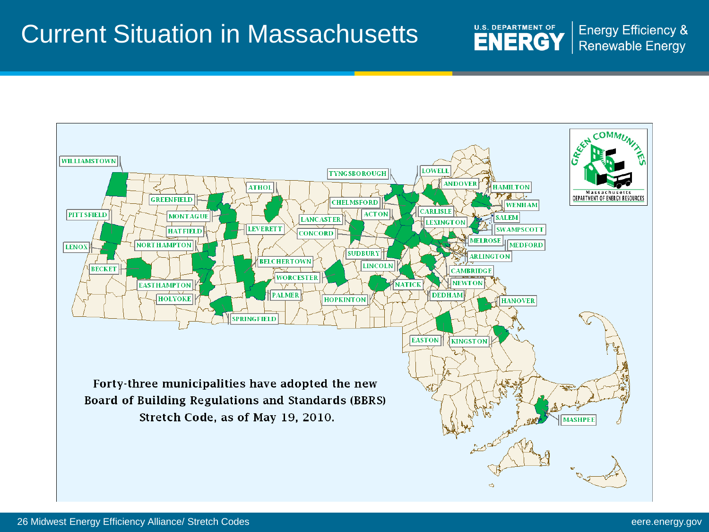#### Current Situation in Massachusetts

**U.S. DEPARTMENT OF ENERGY** 

**Energy Efficiency & Renewable Energy** 

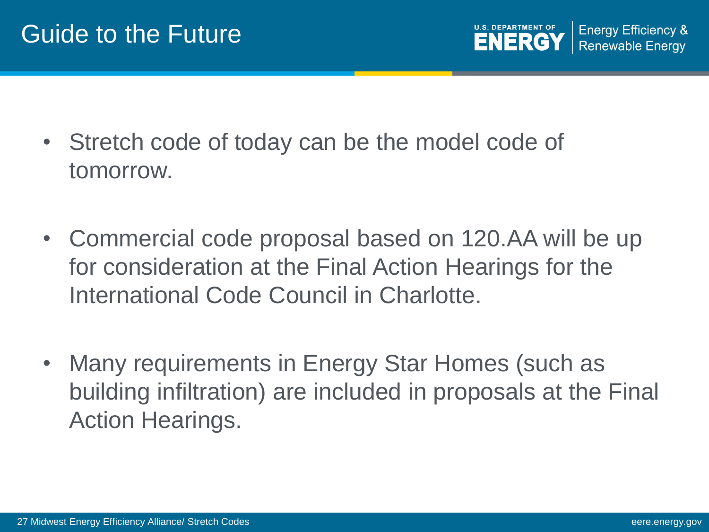- Stretch code of today can be the model code of tomorrow.
- Commercial code proposal based on 120.AA will be up for consideration at the Final Action Hearings for the International Code Council in Charlotte.
- Many requirements in Energy Star Homes (such as building infiltration) are included in proposals at the Final Action Hearings.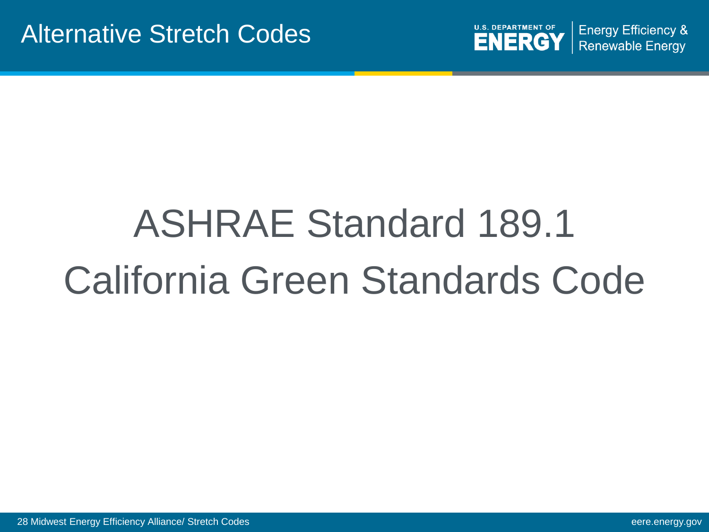

# ASHRAE Standard 189.1 California Green Standards Code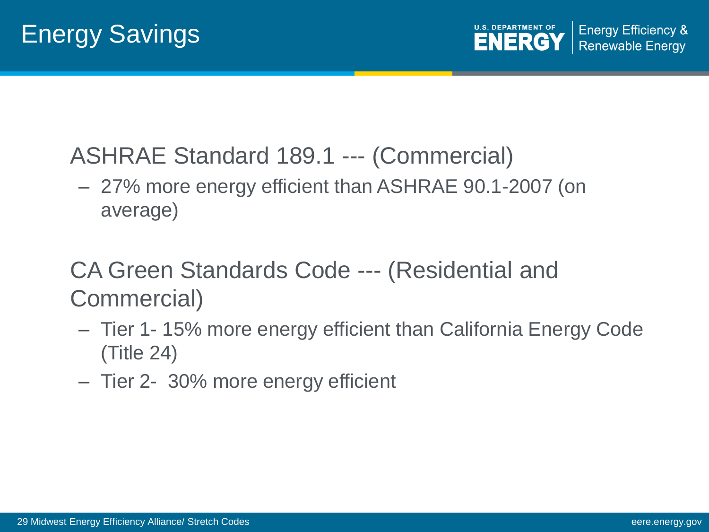#### ASHRAE Standard 189.1 --- (Commercial)

– 27% more energy efficient than ASHRAE 90.1-2007 (on average)

#### CA Green Standards Code --- (Residential and Commercial)

- Tier 1- 15% more energy efficient than California Energy Code (Title 24)
- Tier 2- 30% more energy efficient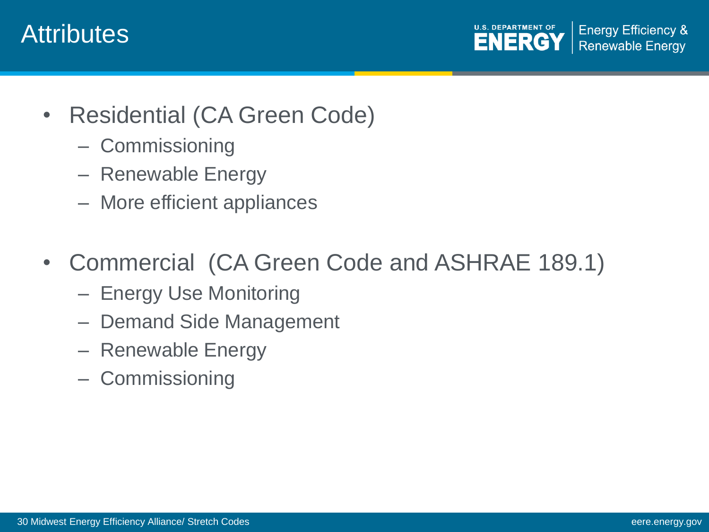#### **Attributes**

**U.S. DEPARTMENT OF Energy Efficiency & ENERGY Renewable Energy** 

- Residential (CA Green Code)
	- Commissioning
	- Renewable Energy
	- More efficient appliances
- Commercial (CA Green Code and ASHRAE 189.1)
	- Energy Use Monitoring
	- Demand Side Management
	- Renewable Energy
	- Commissioning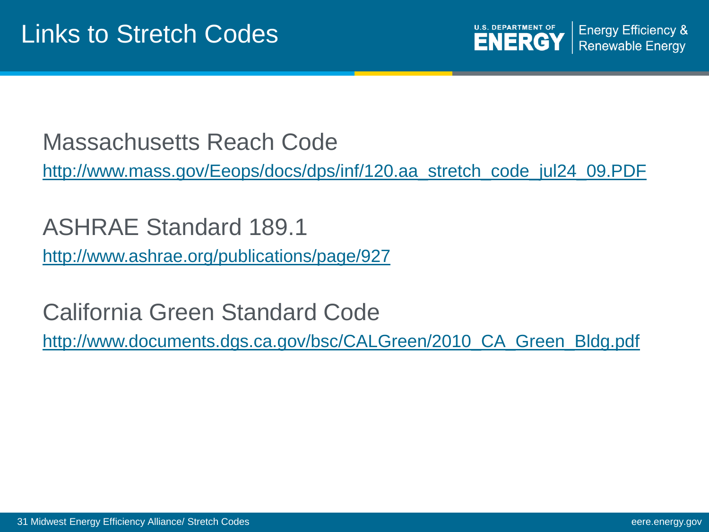**U.S. DEPARTMENT OF Energy Efficiency & ENERGY Renewable Energy** 

Massachusetts Reach Code

[http://www.mass.gov/Eeops/docs/dps/inf/120.aa\\_stretch\\_code\\_jul24\\_09.PDF](http://www.mass.gov/Eeops/docs/dps/inf/120.aa_stretch_code_jul24_09.PDF)

ASHRAE Standard 189.1 <http://www.ashrae.org/publications/page/927>

California Green Standard Code [http://www.documents.dgs.ca.gov/bsc/CALGreen/2010\\_CA\\_Green\\_Bldg.pdf](http://www.documents.dgs.ca.gov/bsc/CALGreen/2010_CA_Green_Bldg.pdf)